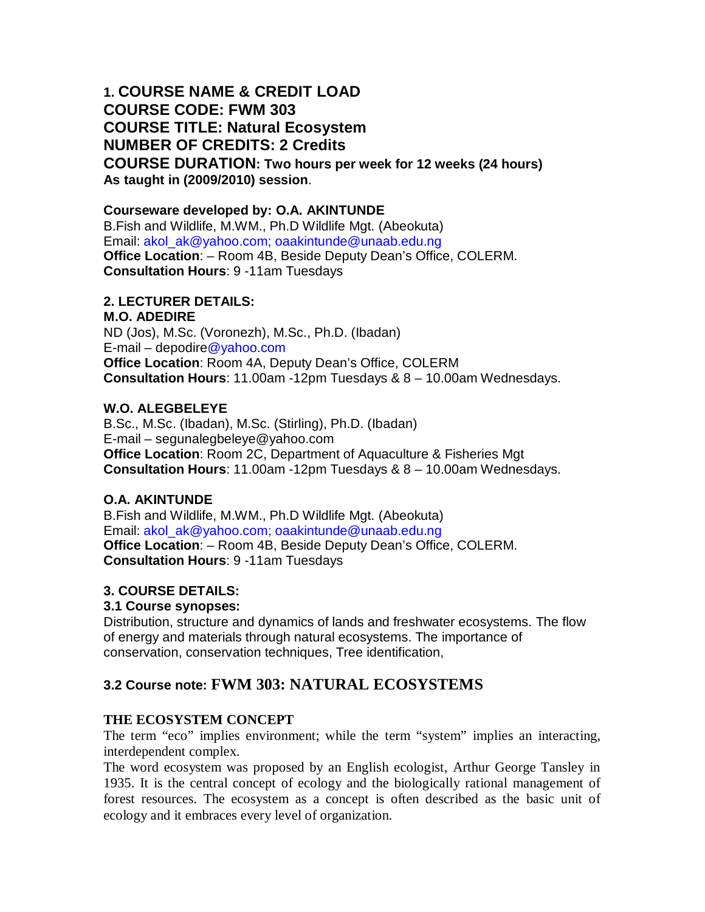# **1. COURSE NAME & CREDIT LOAD COURSE CODE: FWM 303 COURSE TITLE: Natural Ecosystem NUMBER OF CREDITS: 2 Credits COURSE DURATION: Two hours per week for 12 weeks (24 hours) As taught in (2009/2010) session**.

## **Courseware developed by: O.A. AKINTUNDE**

B.Fish and Wildlife, M.WM., Ph.D Wildlife Mgt. (Abeokuta) Email: akol\_ak@yahoo.com; oaakintunde@unaab.edu.ng **Office Location**: – Room 4B, Beside Deputy Dean's Office, COLERM. **Consultation Hours**: 9 -11am Tuesdays

### **2. LECTURER DETAILS:**

#### **M.O. ADEDIRE**

ND (Jos), M.Sc. (Voronezh), M.Sc., Ph.D. (Ibadan) E-mail – depodire@yahoo.com **Office Location**: Room 4A, Deputy Dean's Office, COLERM **Consultation Hours**: 11.00am -12pm Tuesdays & 8 – 10.00am Wednesdays.

### **W.O. ALEGBELEYE**

B.Sc., M.Sc. (Ibadan), M.Sc. (Stirling), Ph.D. (Ibadan) E-mail – segunalegbeleye@yahoo.com **Office Location**: Room 2C, Department of Aquaculture & Fisheries Mgt **Consultation Hours**: 11.00am -12pm Tuesdays & 8 – 10.00am Wednesdays.

### **O.A. AKINTUNDE**

B.Fish and Wildlife, M.WM., Ph.D Wildlife Mgt. (Abeokuta) Email: akol\_ak@yahoo.com; oaakintunde@unaab.edu.ng **Office Location**: – Room 4B, Beside Deputy Dean's Office, COLERM. **Consultation Hours**: 9 -11am Tuesdays

## **3. COURSE DETAILS:**

### **3.1 Course synopses:**

Distribution, structure and dynamics of lands and freshwater ecosystems. The flow of energy and materials through natural ecosystems. The importance of conservation, conservation techniques, Tree identification,

## **3.2 Course note: FWM 303: NATURAL ECOSYSTEMS**

### **THE ECOSYSTEM CONCEPT**

The term "eco" implies environment; while the term "system" implies an interacting, interdependent complex.

The word ecosystem was proposed by an English ecologist, Arthur George Tansley in 1935. It is the central concept of ecology and the biologically rational management of forest resources. The ecosystem as a concept is often described as the basic unit of ecology and it embraces every level of organization.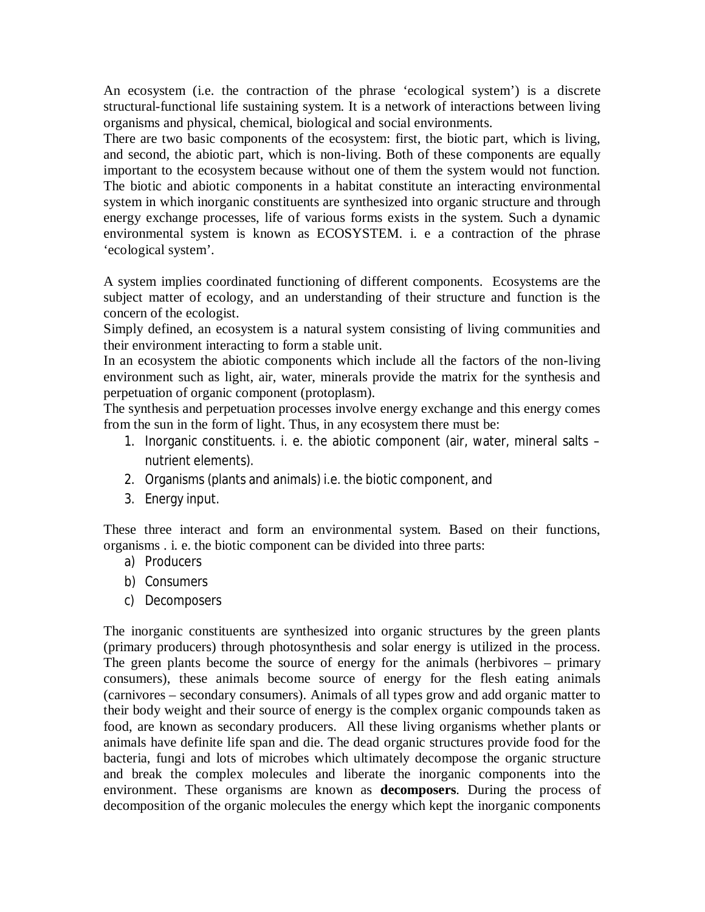An ecosystem (i.e. the contraction of the phrase 'ecological system') is a discrete structural-functional life sustaining system. It is a network of interactions between living organisms and physical, chemical, biological and social environments.

There are two basic components of the ecosystem: first, the biotic part, which is living, and second, the abiotic part, which is non-living. Both of these components are equally important to the ecosystem because without one of them the system would not function. The biotic and abiotic components in a habitat constitute an interacting environmental system in which inorganic constituents are synthesized into organic structure and through energy exchange processes, life of various forms exists in the system. Such a dynamic environmental system is known as ECOSYSTEM. i. e a contraction of the phrase 'ecological system'.

A system implies coordinated functioning of different components. Ecosystems are the subject matter of ecology, and an understanding of their structure and function is the concern of the ecologist.

Simply defined, an ecosystem is a natural system consisting of living communities and their environment interacting to form a stable unit.

In an ecosystem the abiotic components which include all the factors of the non-living environment such as light, air, water, minerals provide the matrix for the synthesis and perpetuation of organic component (protoplasm).

The synthesis and perpetuation processes involve energy exchange and this energy comes from the sun in the form of light. Thus, in any ecosystem there must be:

- 1. Inorganic constituents. i. e. the abiotic component (air, water, mineral salts nutrient elements).
- 2. Organisms (plants and animals) i.e. the biotic component, and
- 3. Energy input.

These three interact and form an environmental system. Based on their functions, organisms . i. e. the biotic component can be divided into three parts:

- a) Producers
- b) Consumers
- c) Decomposers

The inorganic constituents are synthesized into organic structures by the green plants (primary producers) through photosynthesis and solar energy is utilized in the process. The green plants become the source of energy for the animals (herbivores – primary consumers), these animals become source of energy for the flesh eating animals (carnivores – secondary consumers). Animals of all types grow and add organic matter to their body weight and their source of energy is the complex organic compounds taken as food, are known as secondary producers. All these living organisms whether plants or animals have definite life span and die. The dead organic structures provide food for the bacteria, fungi and lots of microbes which ultimately decompose the organic structure and break the complex molecules and liberate the inorganic components into the environment. These organisms are known as **decomposers**. During the process of decomposition of the organic molecules the energy which kept the inorganic components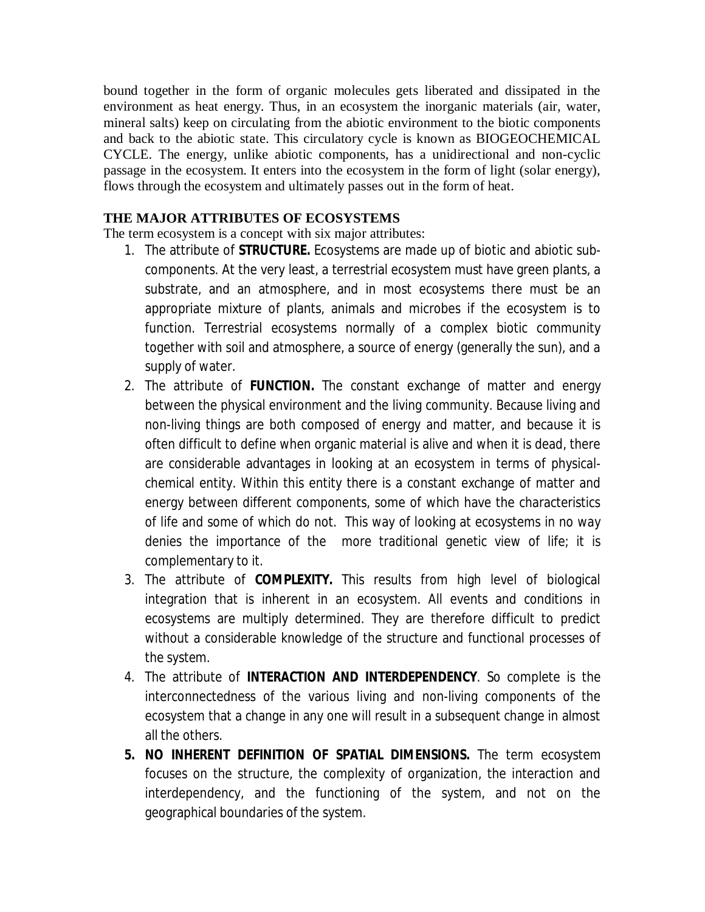bound together in the form of organic molecules gets liberated and dissipated in the environment as heat energy. Thus, in an ecosystem the inorganic materials (air, water, mineral salts) keep on circulating from the abiotic environment to the biotic components and back to the abiotic state. This circulatory cycle is known as BIOGEOCHEMICAL CYCLE. The energy, unlike abiotic components, has a unidirectional and non-cyclic passage in the ecosystem. It enters into the ecosystem in the form of light (solar energy), flows through the ecosystem and ultimately passes out in the form of heat.

## **THE MAJOR ATTRIBUTES OF ECOSYSTEMS**

The term ecosystem is a concept with six major attributes:

- 1. The attribute of **STRUCTURE.** Ecosystems are made up of biotic and abiotic subcomponents. At the very least, a terrestrial ecosystem must have green plants, a substrate, and an atmosphere, and in most ecosystems there must be an appropriate mixture of plants, animals and microbes if the ecosystem is to function. Terrestrial ecosystems normally of a complex biotic community together with soil and atmosphere, a source of energy (generally the sun), and a supply of water.
- 2. The attribute of **FUNCTION.** The constant exchange of matter and energy between the physical environment and the living community. Because living and non-living things are both composed of energy and matter, and because it is often difficult to define when organic material is alive and when it is dead, there are considerable advantages in looking at an ecosystem in terms of physicalchemical entity. Within this entity there is a constant exchange of matter and energy between different components, some of which have the characteristics of life and some of which do not. This way of looking at ecosystems in no way denies the importance of the more traditional genetic view of life; it is complementary to it.
- 3. The attribute of **COMPLEXITY.** This results from high level of biological integration that is inherent in an ecosystem. All events and conditions in ecosystems are multiply determined. They are therefore difficult to predict without a considerable knowledge of the structure and functional processes of the system.
- 4. The attribute of **INTERACTION AND INTERDEPENDENCY**. So complete is the interconnectedness of the various living and non-living components of the ecosystem that a change in any one will result in a subsequent change in almost all the others.
- **5. NO INHERENT DEFINITION OF SPATIAL DIMENSIONS.** The term ecosystem focuses on the structure, the complexity of organization, the interaction and interdependency, and the functioning of the system, and not on the geographical boundaries of the system.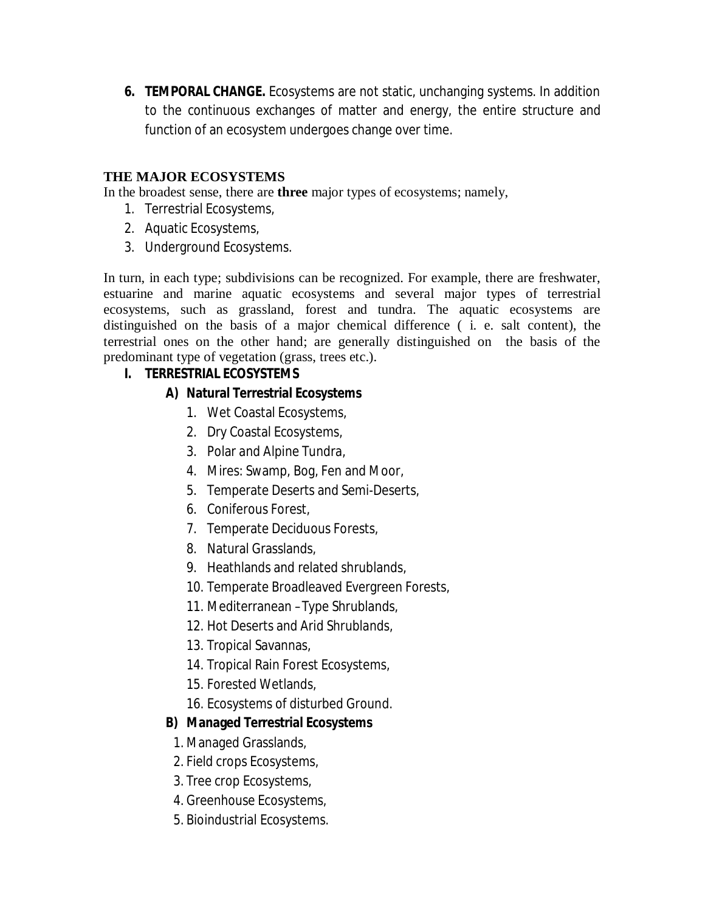**6. TEMPORAL CHANGE.** Ecosystems are not static, unchanging systems. In addition to the continuous exchanges of matter and energy, the entire structure and function of an ecosystem undergoes change over time.

## **THE MAJOR ECOSYSTEMS**

In the broadest sense, there are **three** major types of ecosystems; namely,

- 1. Terrestrial Ecosystems,
- 2. Aquatic Ecosystems,
- 3. Underground Ecosystems.

In turn, in each type; subdivisions can be recognized. For example, there are freshwater, estuarine and marine aquatic ecosystems and several major types of terrestrial ecosystems, such as grassland, forest and tundra. The aquatic ecosystems are distinguished on the basis of a major chemical difference ( i. e. salt content), the terrestrial ones on the other hand; are generally distinguished on the basis of the predominant type of vegetation (grass, trees etc.).

## **I. TERRESTRIAL ECOSYSTEMS**

## **A) Natural Terrestrial Ecosystems**

- 1. Wet Coastal Ecosystems,
- 2. Dry Coastal Ecosystems,
- 3. Polar and Alpine Tundra,
- 4. Mires: Swamp, Bog, Fen and Moor,
- 5. Temperate Deserts and Semi-Deserts,
- 6. Coniferous Forest,
- 7. Temperate Deciduous Forests,
- 8. Natural Grasslands,
- 9. Heathlands and related shrublands,
- 10. Temperate Broadleaved Evergreen Forests,
- 11. Mediterranean –Type Shrublands,
- 12. Hot Deserts and Arid Shrublands,
- 13. Tropical Savannas,
- 14. Tropical Rain Forest Ecosystems,
- 15. Forested Wetlands,
- 16. Ecosystems of disturbed Ground.

## **B) Managed Terrestrial Ecosystems**

- 1. Managed Grasslands,
- 2. Field crops Ecosystems,
- 3. Tree crop Ecosystems,
- 4. Greenhouse Ecosystems,
- 5. Bioindustrial Ecosystems.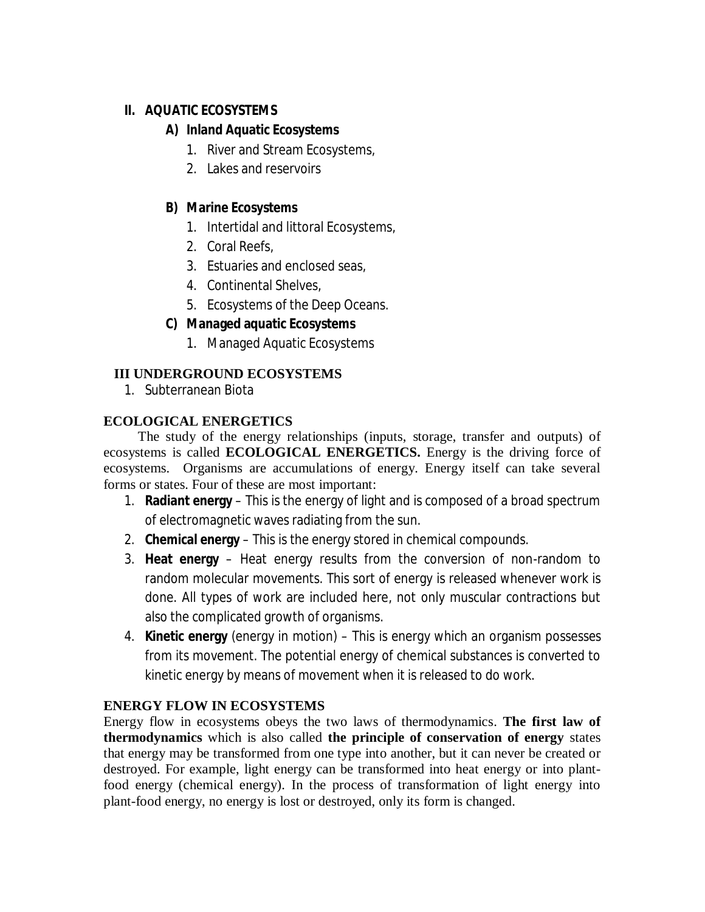# **II. AQUATIC ECOSYSTEMS**

# **A) Inland Aquatic Ecosystems**

- 1. River and Stream Ecosystems,
- 2. Lakes and reservoirs

# **B) Marine Ecosystems**

- 1. Intertidal and littoral Ecosystems,
- 2. Coral Reefs,
- 3. Estuaries and enclosed seas,
- 4. Continental Shelves,
- 5. Ecosystems of the Deep Oceans.

# **C) Managed aquatic Ecosystems**

1. Managed Aquatic Ecosystems

# **III UNDERGROUND ECOSYSTEMS**

1. Subterranean Biota

# **ECOLOGICAL ENERGETICS**

The study of the energy relationships (inputs, storage, transfer and outputs) of ecosystems is called **ECOLOGICAL ENERGETICS.** Energy is the driving force of ecosystems. Organisms are accumulations of energy. Energy itself can take several forms or states. Four of these are most important:

- 1. **Radiant energy** This is the energy of light and is composed of a broad spectrum of electromagnetic waves radiating from the sun.
- 2. **Chemical energy**  This is the energy stored in chemical compounds.
- 3. **Heat energy** Heat energy results from the conversion of non-random to random molecular movements. This sort of energy is released whenever work is done. All types of work are included here, not only muscular contractions but also the complicated growth of organisms.
- 4. **Kinetic energy** (energy in motion) This is energy which an organism possesses from its movement. The potential energy of chemical substances is converted to kinetic energy by means of movement when it is released to do work.

# **ENERGY FLOW IN ECOSYSTEMS**

Energy flow in ecosystems obeys the two laws of thermodynamics. **The first law of thermodynamics** which is also called **the principle of conservation of energy** states that energy may be transformed from one type into another, but it can never be created or destroyed. For example, light energy can be transformed into heat energy or into plantfood energy (chemical energy). In the process of transformation of light energy into plant-food energy, no energy is lost or destroyed, only its form is changed.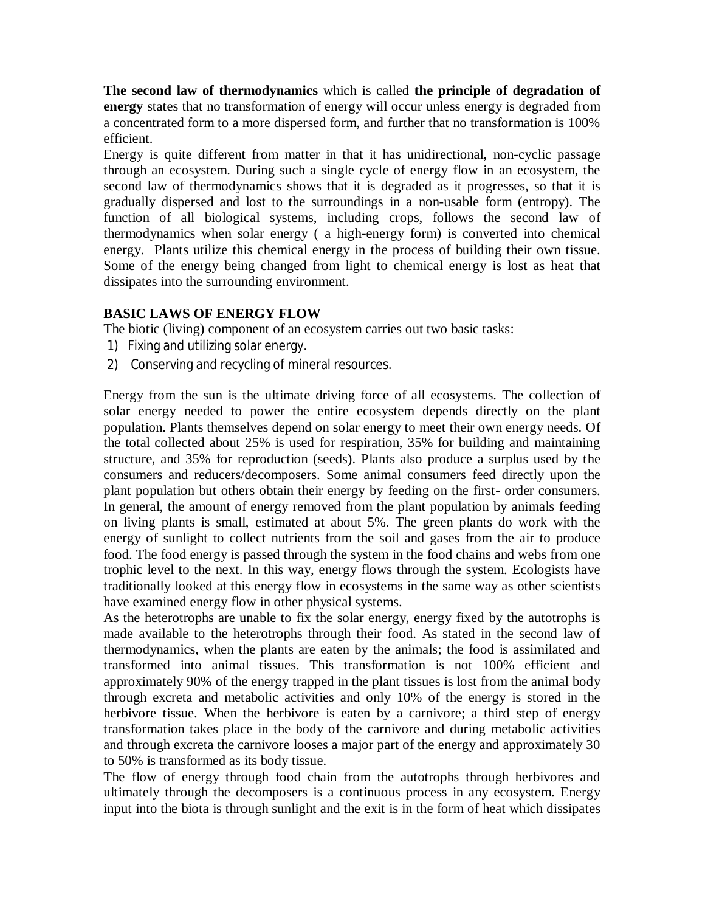**The second law of thermodynamics** which is called **the principle of degradation of energy** states that no transformation of energy will occur unless energy is degraded from a concentrated form to a more dispersed form, and further that no transformation is 100% efficient.

Energy is quite different from matter in that it has unidirectional, non-cyclic passage through an ecosystem. During such a single cycle of energy flow in an ecosystem, the second law of thermodynamics shows that it is degraded as it progresses, so that it is gradually dispersed and lost to the surroundings in a non-usable form (entropy). The function of all biological systems, including crops, follows the second law of thermodynamics when solar energy ( a high-energy form) is converted into chemical energy. Plants utilize this chemical energy in the process of building their own tissue. Some of the energy being changed from light to chemical energy is lost as heat that dissipates into the surrounding environment.

## **BASIC LAWS OF ENERGY FLOW**

The biotic (living) component of an ecosystem carries out two basic tasks:

- 1) Fixing and utilizing solar energy.
- 2) Conserving and recycling of mineral resources.

Energy from the sun is the ultimate driving force of all ecosystems. The collection of solar energy needed to power the entire ecosystem depends directly on the plant population. Plants themselves depend on solar energy to meet their own energy needs. Of the total collected about 25% is used for respiration, 35% for building and maintaining structure, and 35% for reproduction (seeds). Plants also produce a surplus used by the consumers and reducers/decomposers. Some animal consumers feed directly upon the plant population but others obtain their energy by feeding on the first- order consumers. In general, the amount of energy removed from the plant population by animals feeding on living plants is small, estimated at about 5%. The green plants do work with the energy of sunlight to collect nutrients from the soil and gases from the air to produce food. The food energy is passed through the system in the food chains and webs from one trophic level to the next. In this way, energy flows through the system. Ecologists have traditionally looked at this energy flow in ecosystems in the same way as other scientists have examined energy flow in other physical systems.

As the heterotrophs are unable to fix the solar energy, energy fixed by the autotrophs is made available to the heterotrophs through their food. As stated in the second law of thermodynamics, when the plants are eaten by the animals; the food is assimilated and transformed into animal tissues. This transformation is not 100% efficient and approximately 90% of the energy trapped in the plant tissues is lost from the animal body through excreta and metabolic activities and only 10% of the energy is stored in the herbivore tissue. When the herbivore is eaten by a carnivore; a third step of energy transformation takes place in the body of the carnivore and during metabolic activities and through excreta the carnivore looses a major part of the energy and approximately 30 to 50% is transformed as its body tissue.

The flow of energy through food chain from the autotrophs through herbivores and ultimately through the decomposers is a continuous process in any ecosystem. Energy input into the biota is through sunlight and the exit is in the form of heat which dissipates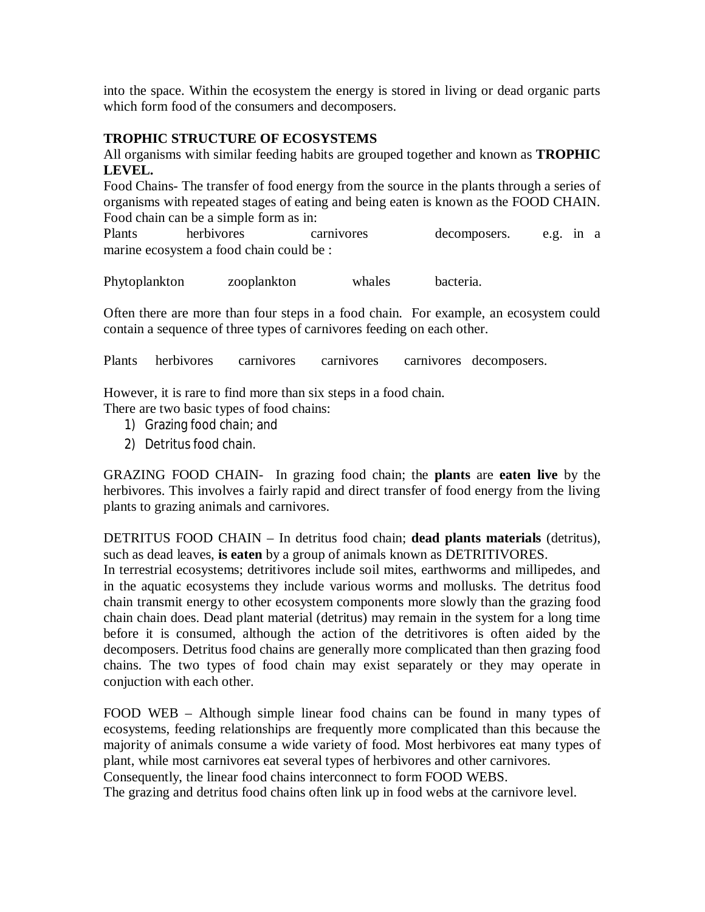into the space. Within the ecosystem the energy is stored in living or dead organic parts which form food of the consumers and decomposers.

## **TROPHIC STRUCTURE OF ECOSYSTEMS**

All organisms with similar feeding habits are grouped together and known as **TROPHIC LEVEL.** 

Food Chains- The transfer of food energy from the source in the plants through a series of organisms with repeated stages of eating and being eaten is known as the FOOD CHAIN. Food chain can be a simple form as in:

Plants herbivores carnivores decomposers. e.g. in a marine ecosystem a food chain could be :

Phytoplankton zooplankton whales bacteria.

Often there are more than four steps in a food chain. For example, an ecosystem could contain a sequence of three types of carnivores feeding on each other.

Plants herbivores carnivores carnivores carnivores decomposers.

However, it is rare to find more than six steps in a food chain.

There are two basic types of food chains:

- 1) Grazing food chain; and
- 2) Detritus food chain.

GRAZING FOOD CHAIN- In grazing food chain; the **plants** are **eaten live** by the herbivores. This involves a fairly rapid and direct transfer of food energy from the living plants to grazing animals and carnivores.

DETRITUS FOOD CHAIN – In detritus food chain; **dead plants materials** (detritus), such as dead leaves, **is eaten** by a group of animals known as DETRITIVORES.

In terrestrial ecosystems; detritivores include soil mites, earthworms and millipedes, and in the aquatic ecosystems they include various worms and mollusks. The detritus food chain transmit energy to other ecosystem components more slowly than the grazing food chain chain does. Dead plant material (detritus) may remain in the system for a long time before it is consumed, although the action of the detritivores is often aided by the decomposers. Detritus food chains are generally more complicated than then grazing food chains. The two types of food chain may exist separately or they may operate in conjuction with each other.

FOOD WEB – Although simple linear food chains can be found in many types of ecosystems, feeding relationships are frequently more complicated than this because the majority of animals consume a wide variety of food. Most herbivores eat many types of plant, while most carnivores eat several types of herbivores and other carnivores.

Consequently, the linear food chains interconnect to form FOOD WEBS.

The grazing and detritus food chains often link up in food webs at the carnivore level.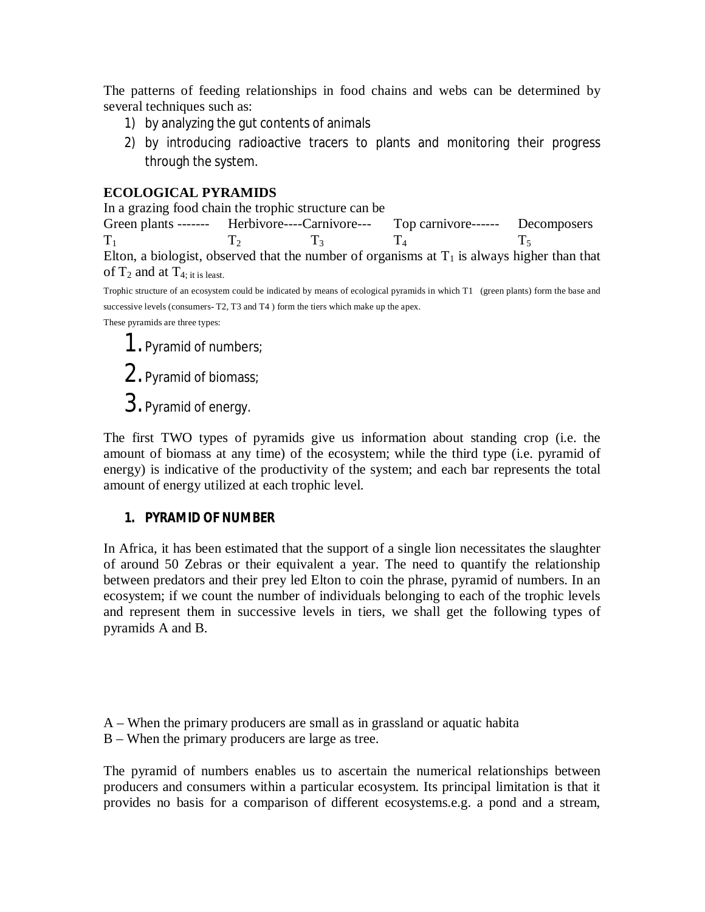The patterns of feeding relationships in food chains and webs can be determined by several techniques such as:

- 1) by analyzing the gut contents of animals
- 2) by introducing radioactive tracers to plants and monitoring their progress through the system.

## **ECOLOGICAL PYRAMIDS**

In a grazing food chain the trophic structure can be

Green plants ------- Herbivore----Carnivore--- Top carnivore------ Decomposers  $T_1$   $T_2$   $T_3$   $T_4$   $T_5$ Elton, a biologist, observed that the number of organisms at  $T_1$  is always higher than that of  $T_2$  and at  $T_{4: it is least.}$ 

Trophic structure of an ecosystem could be indicated by means of ecological pyramids in which T1 (green plants) form the base and successive levels (consumers- T2, T3 and T4 ) form the tiers which make up the apex.

These pyramids are three types:

1.Pyramid of numbers;

2.Pyramid of biomass;

3.Pyramid of energy.

The first TWO types of pyramids give us information about standing crop (i.e. the amount of biomass at any time) of the ecosystem; while the third type (i.e. pyramid of energy) is indicative of the productivity of the system; and each bar represents the total amount of energy utilized at each trophic level.

## **1. PYRAMID OF NUMBER**

In Africa, it has been estimated that the support of a single lion necessitates the slaughter of around 50 Zebras or their equivalent a year. The need to quantify the relationship between predators and their prey led Elton to coin the phrase, pyramid of numbers. In an ecosystem; if we count the number of individuals belonging to each of the trophic levels and represent them in successive levels in tiers, we shall get the following types of pyramids A and B.

- A When the primary producers are small as in grassland or aquatic habita
- B When the primary producers are large as tree.

The pyramid of numbers enables us to ascertain the numerical relationships between producers and consumers within a particular ecosystem. Its principal limitation is that it provides no basis for a comparison of different ecosystems.e.g. a pond and a stream,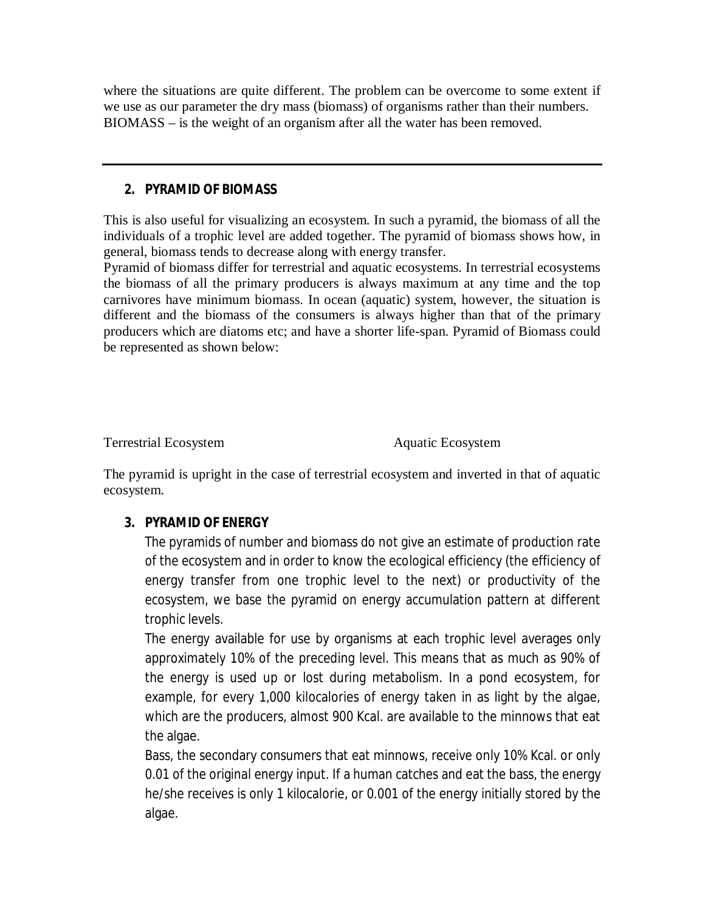where the situations are quite different. The problem can be overcome to some extent if we use as our parameter the dry mass (biomass) of organisms rather than their numbers. BIOMASS – is the weight of an organism after all the water has been removed.

## **2. PYRAMID OF BIOMASS**

This is also useful for visualizing an ecosystem. In such a pyramid, the biomass of all the individuals of a trophic level are added together. The pyramid of biomass shows how, in general, biomass tends to decrease along with energy transfer.

Pyramid of biomass differ for terrestrial and aquatic ecosystems. In terrestrial ecosystems the biomass of all the primary producers is always maximum at any time and the top carnivores have minimum biomass. In ocean (aquatic) system, however, the situation is different and the biomass of the consumers is always higher than that of the primary producers which are diatoms etc; and have a shorter life-span. Pyramid of Biomass could be represented as shown below:

Terrestrial Ecosystem **Aquatic Ecosystem** 

The pyramid is upright in the case of terrestrial ecosystem and inverted in that of aquatic ecosystem.

# **3. PYRAMID OF ENERGY**

The pyramids of number and biomass do not give an estimate of production rate of the ecosystem and in order to know the ecological efficiency (the efficiency of energy transfer from one trophic level to the next) or productivity of the ecosystem, we base the pyramid on energy accumulation pattern at different trophic levels.

The energy available for use by organisms at each trophic level averages only approximately 10% of the preceding level. This means that as much as 90% of the energy is used up or lost during metabolism. In a pond ecosystem, for example, for every 1,000 kilocalories of energy taken in as light by the algae, which are the producers, almost 900 Kcal. are available to the minnows that eat the algae.

Bass, the secondary consumers that eat minnows, receive only 10% Kcal. or only 0.01 of the original energy input. If a human catches and eat the bass, the energy he/she receives is only 1 kilocalorie, or 0.001 of the energy initially stored by the algae.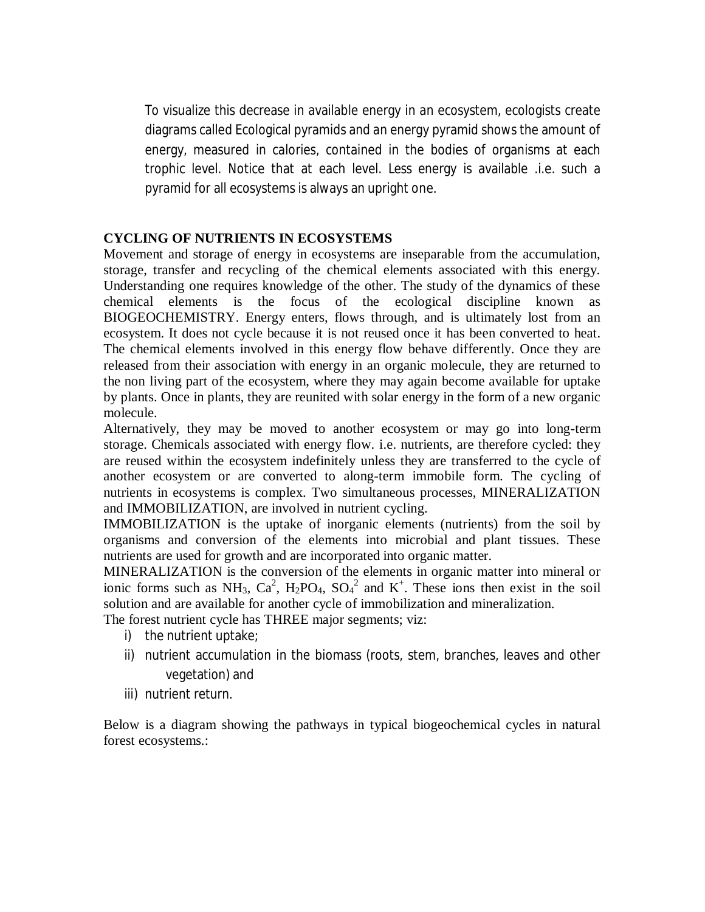To visualize this decrease in available energy in an ecosystem, ecologists create diagrams called Ecological pyramids and an energy pyramid shows the amount of energy, measured in calories, contained in the bodies of organisms at each trophic level. Notice that at each level. Less energy is available .i.e. such a pyramid for all ecosystems is always an upright one.

#### **CYCLING OF NUTRIENTS IN ECOSYSTEMS**

Movement and storage of energy in ecosystems are inseparable from the accumulation, storage, transfer and recycling of the chemical elements associated with this energy. Understanding one requires knowledge of the other. The study of the dynamics of these chemical elements is the focus of the ecological discipline known as BIOGEOCHEMISTRY. Energy enters, flows through, and is ultimately lost from an ecosystem. It does not cycle because it is not reused once it has been converted to heat. The chemical elements involved in this energy flow behave differently. Once they are released from their association with energy in an organic molecule, they are returned to the non living part of the ecosystem, where they may again become available for uptake by plants. Once in plants, they are reunited with solar energy in the form of a new organic molecule.

Alternatively, they may be moved to another ecosystem or may go into long-term storage. Chemicals associated with energy flow. i.e. nutrients, are therefore cycled: they are reused within the ecosystem indefinitely unless they are transferred to the cycle of another ecosystem or are converted to along-term immobile form. The cycling of nutrients in ecosystems is complex. Two simultaneous processes, MINERALIZATION and IMMOBILIZATION, are involved in nutrient cycling.

IMMOBILIZATION is the uptake of inorganic elements (nutrients) from the soil by organisms and conversion of the elements into microbial and plant tissues. These nutrients are used for growth and are incorporated into organic matter.

MINERALIZATION is the conversion of the elements in organic matter into mineral or ionic forms such as NH<sub>3</sub>,  $Ca^2$ , H<sub>2</sub>PO<sub>4</sub>, SO<sub>4</sub><sup>2</sup> and K<sup>+</sup>. These ions then exist in the soil solution and are available for another cycle of immobilization and mineralization.

The forest nutrient cycle has THREE major segments; viz:

- i) the nutrient uptake;
- ii) nutrient accumulation in the biomass (roots, stem, branches, leaves and other vegetation) and
- iii) nutrient return.

Below is a diagram showing the pathways in typical biogeochemical cycles in natural forest ecosystems.: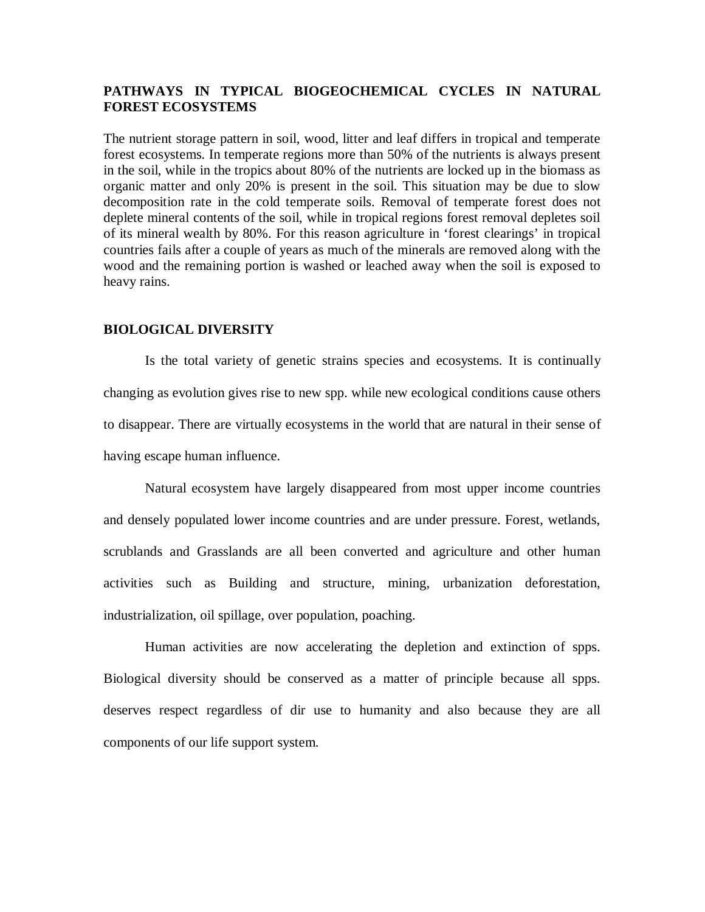### **PATHWAYS IN TYPICAL BIOGEOCHEMICAL CYCLES IN NATURAL FOREST ECOSYSTEMS**

The nutrient storage pattern in soil, wood, litter and leaf differs in tropical and temperate forest ecosystems. In temperate regions more than 50% of the nutrients is always present in the soil, while in the tropics about 80% of the nutrients are locked up in the biomass as organic matter and only 20% is present in the soil. This situation may be due to slow decomposition rate in the cold temperate soils. Removal of temperate forest does not deplete mineral contents of the soil, while in tropical regions forest removal depletes soil of its mineral wealth by 80%. For this reason agriculture in 'forest clearings' in tropical countries fails after a couple of years as much of the minerals are removed along with the wood and the remaining portion is washed or leached away when the soil is exposed to heavy rains.

#### **BIOLOGICAL DIVERSITY**

Is the total variety of genetic strains species and ecosystems. It is continually changing as evolution gives rise to new spp. while new ecological conditions cause others to disappear. There are virtually ecosystems in the world that are natural in their sense of having escape human influence.

Natural ecosystem have largely disappeared from most upper income countries and densely populated lower income countries and are under pressure. Forest, wetlands, scrublands and Grasslands are all been converted and agriculture and other human activities such as Building and structure, mining, urbanization deforestation, industrialization, oil spillage, over population, poaching.

Human activities are now accelerating the depletion and extinction of spps. Biological diversity should be conserved as a matter of principle because all spps. deserves respect regardless of dir use to humanity and also because they are all components of our life support system.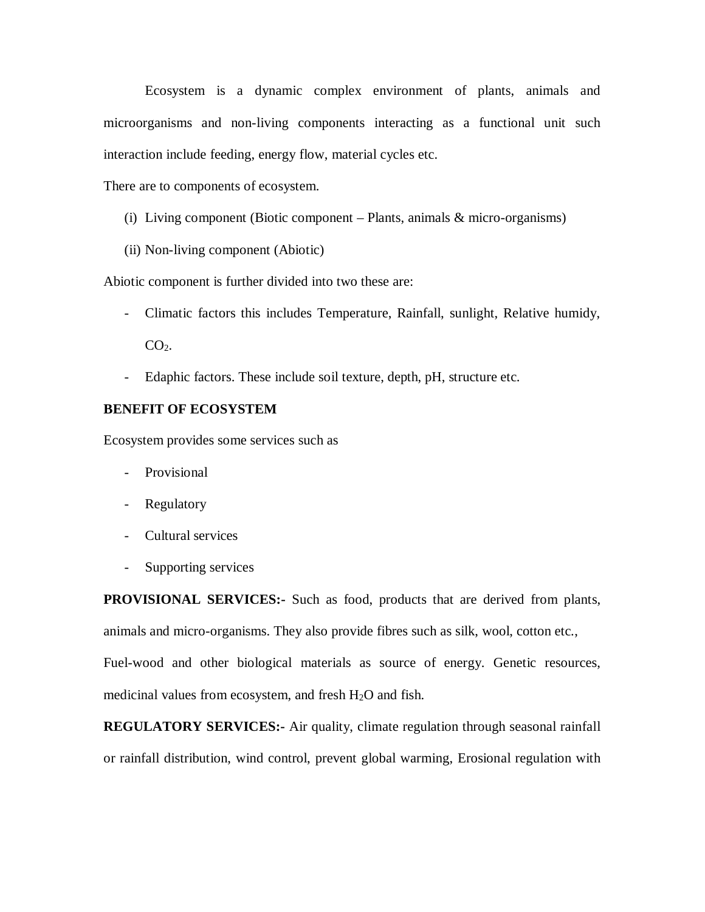Ecosystem is a dynamic complex environment of plants, animals and microorganisms and non-living components interacting as a functional unit such interaction include feeding, energy flow, material cycles etc.

There are to components of ecosystem.

- (i) Living component (Biotic component Plants, animals & micro-organisms)
- (ii) Non-living component (Abiotic)

Abiotic component is further divided into two these are:

- Climatic factors this includes Temperature, Rainfall, sunlight, Relative humidy,  $CO<sub>2</sub>$ .
- Edaphic factors. These include soil texture, depth, pH, structure etc.

#### **BENEFIT OF ECOSYSTEM**

Ecosystem provides some services such as

- Provisional
- Regulatory
- Cultural services
- Supporting services

**PROVISIONAL SERVICES:-** Such as food, products that are derived from plants, animals and micro-organisms. They also provide fibres such as silk, wool, cotton etc.,

Fuel-wood and other biological materials as source of energy. Genetic resources, medicinal values from ecosystem, and fresh  $H_2O$  and fish.

**REGULATORY SERVICES:-** Air quality, climate regulation through seasonal rainfall or rainfall distribution, wind control, prevent global warming, Erosional regulation with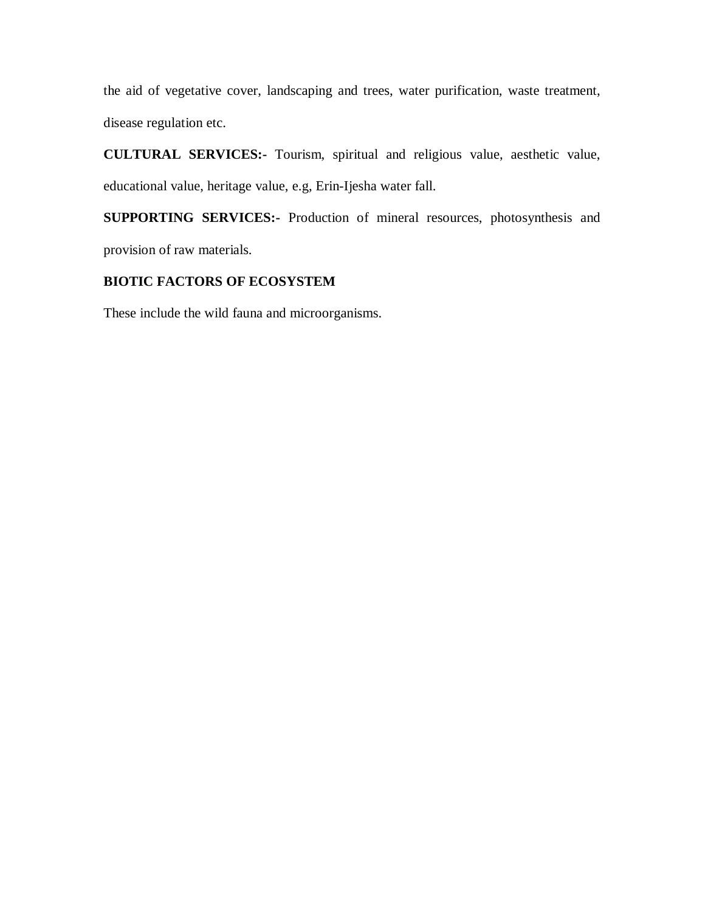the aid of vegetative cover, landscaping and trees, water purification, waste treatment, disease regulation etc.

**CULTURAL SERVICES:-** Tourism, spiritual and religious value, aesthetic value, educational value, heritage value, e.g, Erin-Ijesha water fall.

**SUPPORTING SERVICES:-** Production of mineral resources, photosynthesis and provision of raw materials.

## **BIOTIC FACTORS OF ECOSYSTEM**

These include the wild fauna and microorganisms.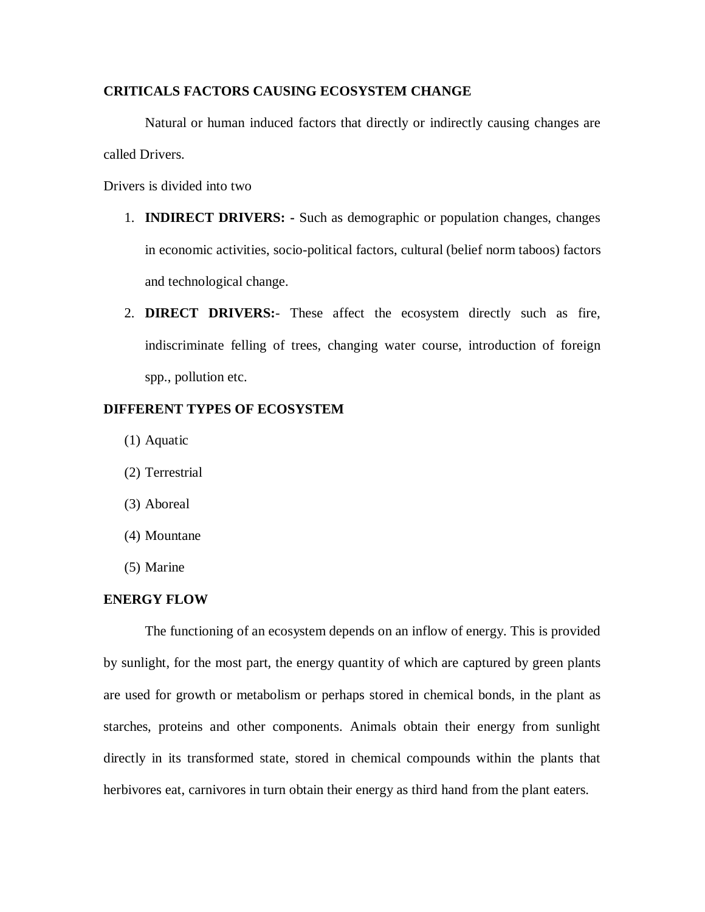### **CRITICALS FACTORS CAUSING ECOSYSTEM CHANGE**

Natural or human induced factors that directly or indirectly causing changes are called Drivers.

Drivers is divided into two

- 1. **INDIRECT DRIVERS: -** Such as demographic or population changes, changes in economic activities, socio-political factors, cultural (belief norm taboos) factors and technological change.
- 2. **DIRECT DRIVERS:** These affect the ecosystem directly such as fire, indiscriminate felling of trees, changing water course, introduction of foreign spp., pollution etc.

#### **DIFFERENT TYPES OF ECOSYSTEM**

- (1) Aquatic
- (2) Terrestrial
- (3) Aboreal
- (4) Mountane
- (5) Marine

#### **ENERGY FLOW**

The functioning of an ecosystem depends on an inflow of energy. This is provided by sunlight, for the most part, the energy quantity of which are captured by green plants are used for growth or metabolism or perhaps stored in chemical bonds, in the plant as starches, proteins and other components. Animals obtain their energy from sunlight directly in its transformed state, stored in chemical compounds within the plants that herbivores eat, carnivores in turn obtain their energy as third hand from the plant eaters.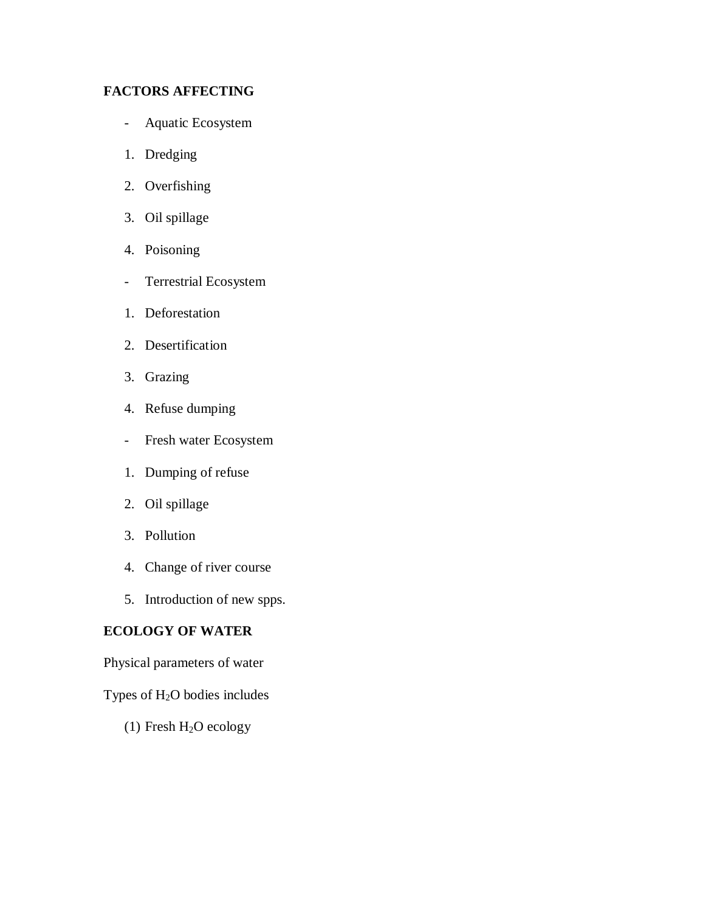## **FACTORS AFFECTING**

- Aquatic Ecosystem
- 1. Dredging
- 2. Overfishing
- 3. Oil spillage
- 4. Poisoning
- Terrestrial Ecosystem
- 1. Deforestation
- 2. Desertification
- 3. Grazing
- 4. Refuse dumping
- Fresh water Ecosystem
- 1. Dumping of refuse
- 2. Oil spillage
- 3. Pollution
- 4. Change of river course
- 5. Introduction of new spps.

### **ECOLOGY OF WATER**

Physical parameters of water

## Types of H2O bodies includes

(1) Fresh  $H_2O$  ecology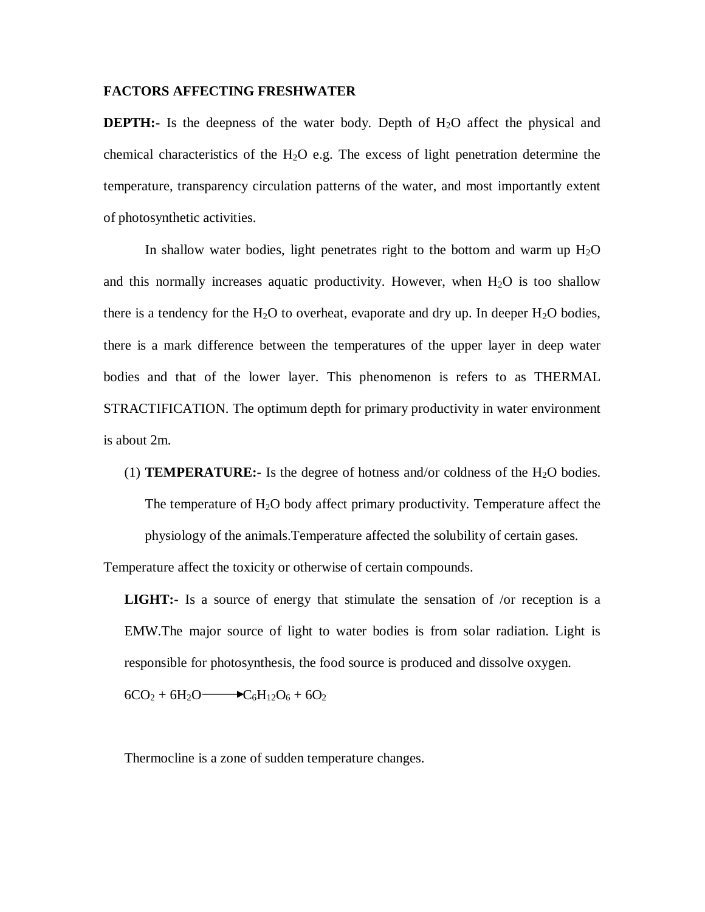#### **FACTORS AFFECTING FRESHWATER**

**DEPTH:**- Is the deepness of the water body. Depth of  $H_2O$  affect the physical and chemical characteristics of the H<sub>2</sub>O e.g. The excess of light penetration determine the temperature, transparency circulation patterns of the water, and most importantly extent of photosynthetic activities.

In shallow water bodies, light penetrates right to the bottom and warm up  $H_2O$ and this normally increases aquatic productivity. However, when  $H_2O$  is too shallow there is a tendency for the H<sub>2</sub>O to overheat, evaporate and dry up. In deeper H<sub>2</sub>O bodies, there is a mark difference between the temperatures of the upper layer in deep water bodies and that of the lower layer. This phenomenon is refers to as THERMAL STRACTIFICATION. The optimum depth for primary productivity in water environment is about 2m.

(1) **TEMPERATURE:-** Is the degree of hotness and/or coldness of the  $H_2O$  bodies. The temperature of  $H_2O$  body affect primary productivity. Temperature affect the physiology of the animals.Temperature affected the solubility of certain gases.

Temperature affect the toxicity or otherwise of certain compounds.

**LIGHT:-** Is a source of energy that stimulate the sensation of /or reception is a EMW.The major source of light to water bodies is from solar radiation. Light is responsible for photosynthesis, the food source is produced and dissolve oxygen.

 $6CO_2 + 6H_2O \longrightarrow C_6H_{12}O_6 + 6O_2$ 

Thermocline is a zone of sudden temperature changes.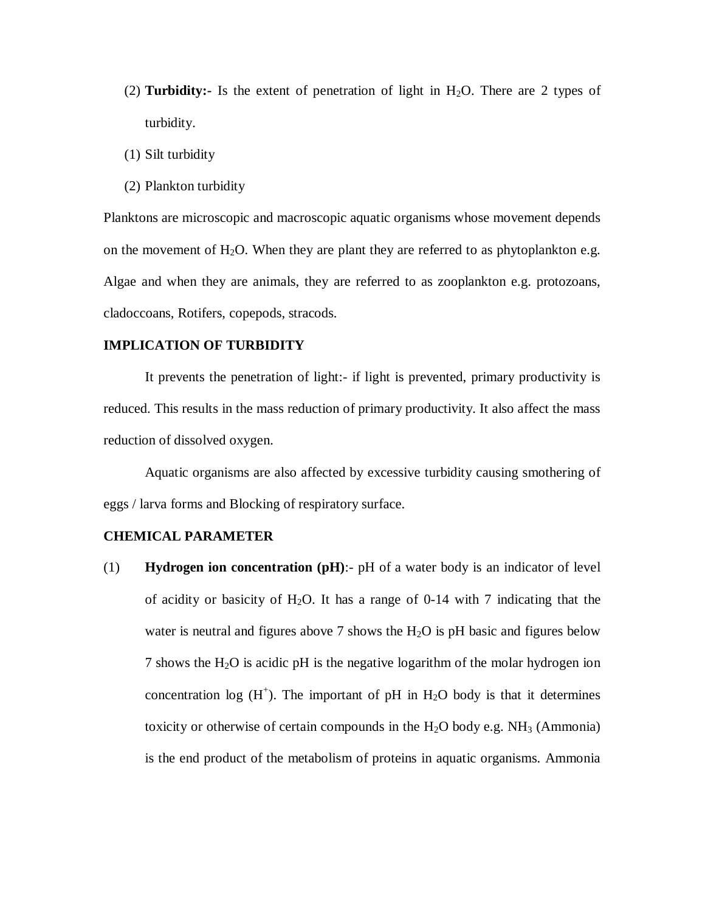- $(2)$  **Turbidity:** Is the extent of penetration of light in H<sub>2</sub>O. There are 2 types of turbidity.
- (1) Silt turbidity
- (2) Plankton turbidity

Planktons are microscopic and macroscopic aquatic organisms whose movement depends on the movement of  $H_2O$ . When they are plant they are referred to as phytoplankton e.g. Algae and when they are animals, they are referred to as zooplankton e.g. protozoans, cladoccoans, Rotifers, copepods, stracods.

### **IMPLICATION OF TURBIDITY**

It prevents the penetration of light:- if light is prevented, primary productivity is reduced. This results in the mass reduction of primary productivity. It also affect the mass reduction of dissolved oxygen.

Aquatic organisms are also affected by excessive turbidity causing smothering of eggs / larva forms and Blocking of respiratory surface.

#### **CHEMICAL PARAMETER**

(1) **Hydrogen ion concentration (pH)**:- pH of a water body is an indicator of level of acidity or basicity of  $H_2O$ . It has a range of 0-14 with 7 indicating that the water is neutral and figures above 7 shows the  $H_2O$  is pH basic and figures below 7 shows the  $H_2O$  is acidic pH is the negative logarithm of the molar hydrogen ion concentration log  $(H^+)$ . The important of pH in  $H_2O$  body is that it determines toxicity or otherwise of certain compounds in the  $H_2O$  body e.g. NH<sub>3</sub> (Ammonia) is the end product of the metabolism of proteins in aquatic organisms. Ammonia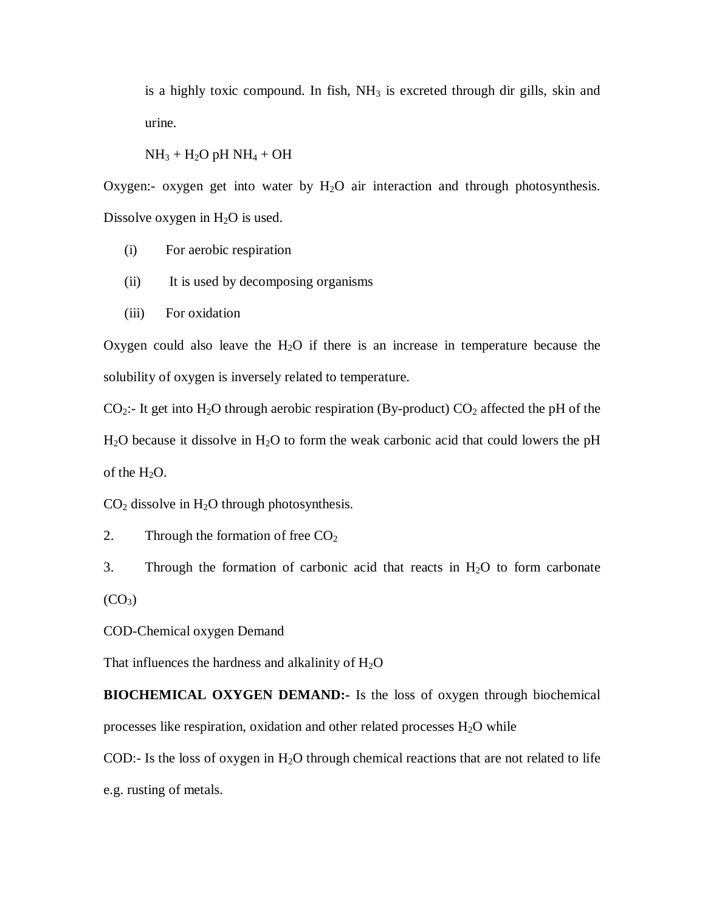is a highly toxic compound. In fish,  $NH<sub>3</sub>$  is excreted through dir gills, skin and urine.

 $NH<sub>3</sub> + H<sub>2</sub>O$  pH  $NH<sub>4</sub> + OH$ 

Oxygen:- oxygen get into water by  $H_2O$  air interaction and through photosynthesis. Dissolve oxygen in  $H_2O$  is used.

- (i) For aerobic respiration
- (ii) It is used by decomposing organisms
- (iii) For oxidation

Oxygen could also leave the  $H_2O$  if there is an increase in temperature because the solubility of oxygen is inversely related to temperature.

 $CO_2$ :- It get into H<sub>2</sub>O through aerobic respiration (By-product)  $CO_2$  affected the pH of the  $H<sub>2</sub>O$  because it dissolve in  $H<sub>2</sub>O$  to form the weak carbonic acid that could lowers the pH of the  $H_2O$ .

 $CO<sub>2</sub>$  dissolve in H<sub>2</sub>O through photosynthesis.

2. Through the formation of free  $CO<sub>2</sub>$ 

3. Through the formation of carbonic acid that reacts in  $H_2O$  to form carbonate  $(CO<sub>3</sub>)$ 

COD-Chemical oxygen Demand

That influences the hardness and alkalinity of  $H_2O$ 

**BIOCHEMICAL OXYGEN DEMAND:-** Is the loss of oxygen through biochemical processes like respiration, oxidation and other related processes  $H_2O$  while

COD:- Is the loss of oxygen in  $H_2O$  through chemical reactions that are not related to life e.g. rusting of metals.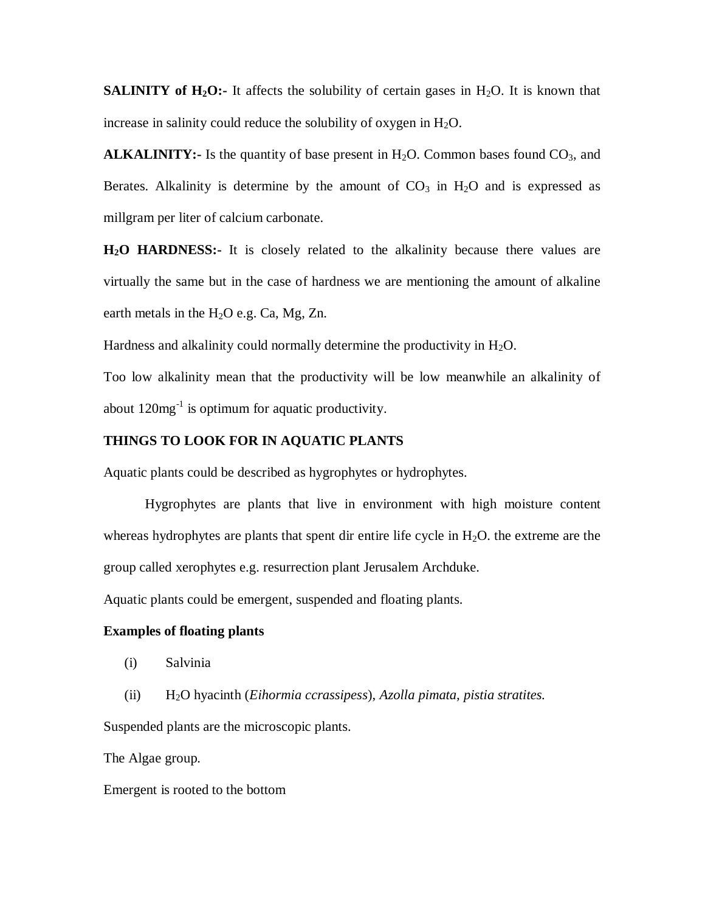**SALINITY of H<sub>2</sub>O:**- It affects the solubility of certain gases in H<sub>2</sub>O. It is known that increase in salinity could reduce the solubility of oxygen in  $H_2O$ .

**ALKALINITY:-** Is the quantity of base present in  $H_2O$ . Common bases found  $CO_3$ , and Berates. Alkalinity is determine by the amount of  $CO<sub>3</sub>$  in  $H<sub>2</sub>O$  and is expressed as millgram per liter of calcium carbonate.

**H2O HARDNESS:-** It is closely related to the alkalinity because there values are virtually the same but in the case of hardness we are mentioning the amount of alkaline earth metals in the  $H_2O$  e.g. Ca, Mg, Zn.

Hardness and alkalinity could normally determine the productivity in  $H_2O$ .

Too low alkalinity mean that the productivity will be low meanwhile an alkalinity of about  $120mg^{-1}$  is optimum for aquatic productivity.

### **THINGS TO LOOK FOR IN AQUATIC PLANTS**

Aquatic plants could be described as hygrophytes or hydrophytes.

Hygrophytes are plants that live in environment with high moisture content whereas hydrophytes are plants that spent dir entire life cycle in  $H_2O$ , the extreme are the group called xerophytes e.g. resurrection plant Jerusalem Archduke.

Aquatic plants could be emergent, suspended and floating plants.

#### **Examples of floating plants**

- (i) Salvinia
- (ii) H2O hyacinth (*Eihormia ccrassipess*), *Azolla pimata, pistia stratites.*

Suspended plants are the microscopic plants.

The Algae group.

Emergent is rooted to the bottom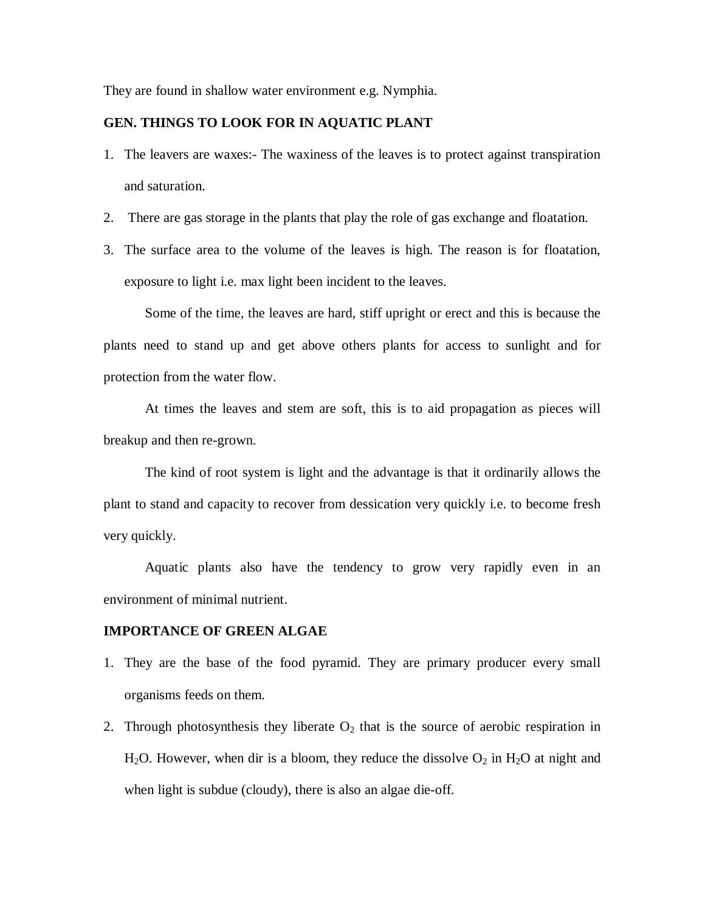They are found in shallow water environment e.g. Nymphia.

### **GEN. THINGS TO LOOK FOR IN AQUATIC PLANT**

- 1. The leavers are waxes:- The waxiness of the leaves is to protect against transpiration and saturation.
- 2. There are gas storage in the plants that play the role of gas exchange and floatation.
- 3. The surface area to the volume of the leaves is high. The reason is for floatation, exposure to light i.e. max light been incident to the leaves.

Some of the time, the leaves are hard, stiff upright or erect and this is because the plants need to stand up and get above others plants for access to sunlight and for protection from the water flow.

At times the leaves and stem are soft, this is to aid propagation as pieces will breakup and then re-grown.

The kind of root system is light and the advantage is that it ordinarily allows the plant to stand and capacity to recover from dessication very quickly i.e. to become fresh very quickly.

Aquatic plants also have the tendency to grow very rapidly even in an environment of minimal nutrient.

#### **IMPORTANCE OF GREEN ALGAE**

- 1. They are the base of the food pyramid. They are primary producer every small organisms feeds on them.
- 2. Through photosynthesis they liberate  $O_2$  that is the source of aerobic respiration in H<sub>2</sub>O. However, when dir is a bloom, they reduce the dissolve  $O_2$  in H<sub>2</sub>O at night and when light is subdue (cloudy), there is also an algae die-off.